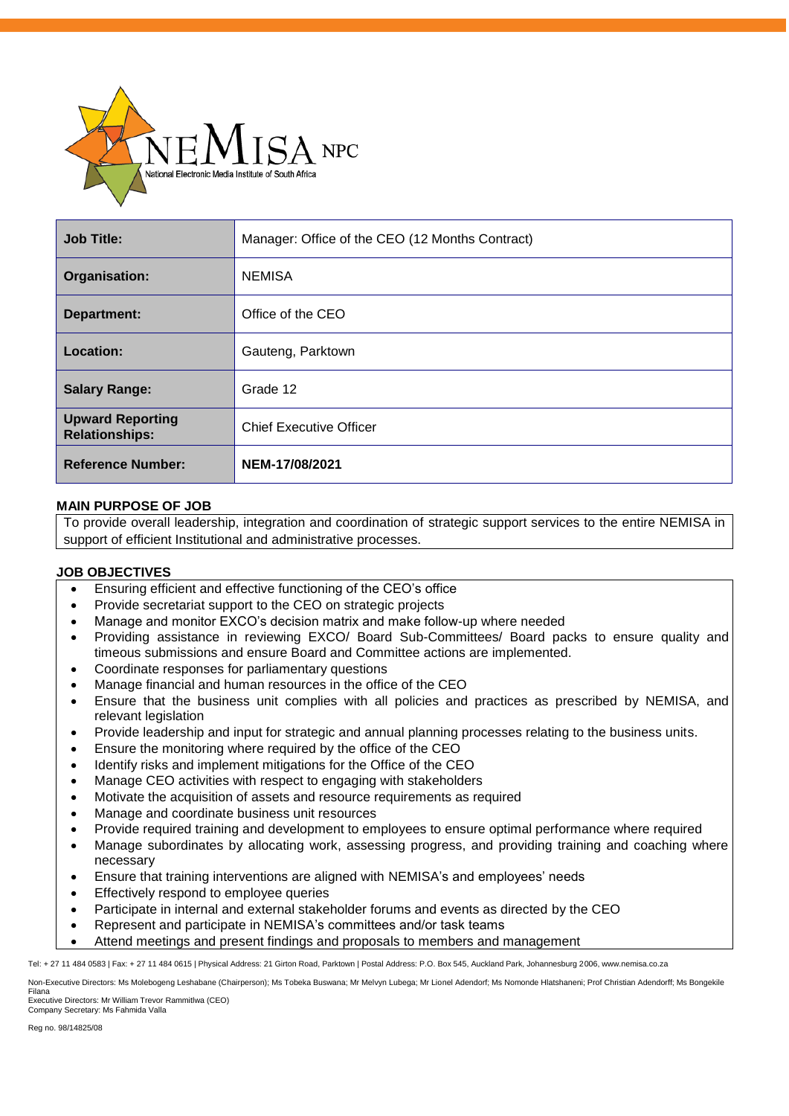

| <b>Job Title:</b>                                | Manager: Office of the CEO (12 Months Contract) |
|--------------------------------------------------|-------------------------------------------------|
| Organisation:                                    | <b>NEMISA</b>                                   |
| Department:                                      | Office of the CEO                               |
| Location:                                        | Gauteng, Parktown                               |
| <b>Salary Range:</b>                             | Grade 12                                        |
| <b>Upward Reporting</b><br><b>Relationships:</b> | <b>Chief Executive Officer</b>                  |
| <b>Reference Number:</b>                         | NEM-17/08/2021                                  |

## **MAIN PURPOSE OF JOB**

To provide overall leadership, integration and coordination of strategic support services to the entire NEMISA in support of efficient Institutional and administrative processes.

## **JOB OBJECTIVES**

- Ensuring efficient and effective functioning of the CEO's office
- Provide secretariat support to the CEO on strategic projects
- Manage and monitor EXCO's decision matrix and make follow-up where needed
- Providing assistance in reviewing EXCO/ Board Sub-Committees/ Board packs to ensure quality and timeous submissions and ensure Board and Committee actions are implemented.
- Coordinate responses for parliamentary questions
- Manage financial and human resources in the office of the CEO
- Ensure that the business unit complies with all policies and practices as prescribed by NEMISA, and relevant legislation
- Provide leadership and input for strategic and annual planning processes relating to the business units.
- Ensure the monitoring where required by the office of the CEO
- Identify risks and implement mitigations for the Office of the CEO
- Manage CEO activities with respect to engaging with stakeholders
- Motivate the acquisition of assets and resource requirements as required
- Manage and coordinate business unit resources
- Provide required training and development to employees to ensure optimal performance where required
- Manage subordinates by allocating work, assessing progress, and providing training and coaching where necessary
- Ensure that training interventions are aligned with NEMISA's and employees' needs
- Effectively respond to employee queries
- Participate in internal and external stakeholder forums and events as directed by the CEO
- Represent and participate in NEMISA's committees and/or task teams
- Attend meetings and present findings and proposals to members and management

Tel: + 27 11 484 0583 | Fax: + 27 11 484 0615 | Physical Address: 21 Girton Road, Parktown | Postal Address: P.O. Box 545, Auckland Park, Johannesburg 2006, www.nemisa.co.za

Non-Executive Directors: Ms Molebogeng Leshabane (Chairperson); Ms Tobeka Buswana; Mr Melvyn Lubega; Mr Lionel Adendorf; Ms Nomonde Hlatshaneni; Prof Christian Adendorff; Ms Bongekile Filana

Executive Directors: Mr William Trevor Rammitlwa (CEO) Company Secretary: Ms Fahmida Valla